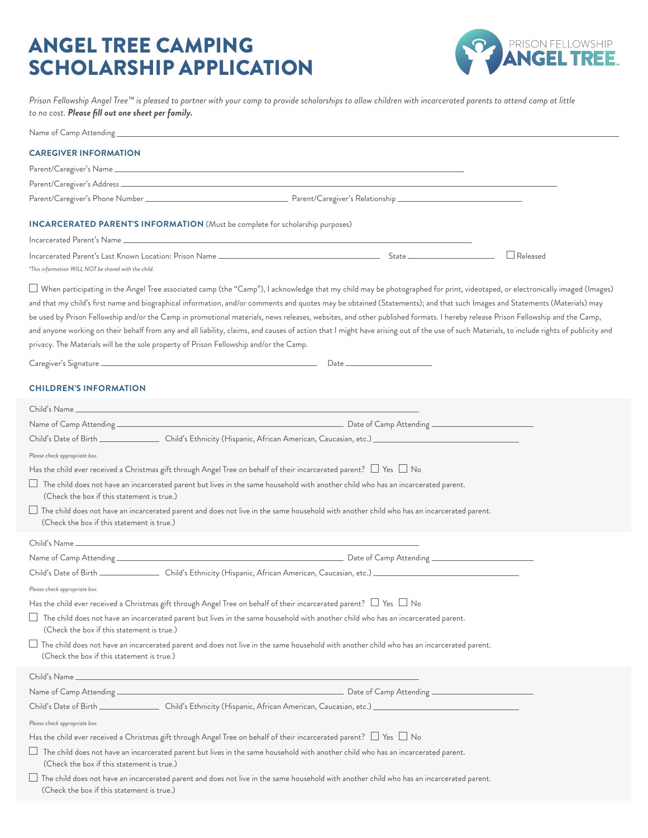## ANGEL TREE CAMPING SCHOLARSHIP APPLICATION



*Prison Fellowship Angel Tree™ is pleased to partner with your camp to provide scholarships to allow children with incarcerated parents to attend camp at little to no cost. Please fill out one sheet per family.*

Name of Camp Attending

## **CAREGIVER INFORMATION**

| <b>CAREGIVER INFORMATION</b>                                                                                                                                                                                                                                                                                                                                                                                                                                                                                                                                                                                                                                                                                                                                                                                                             |  |          |
|------------------------------------------------------------------------------------------------------------------------------------------------------------------------------------------------------------------------------------------------------------------------------------------------------------------------------------------------------------------------------------------------------------------------------------------------------------------------------------------------------------------------------------------------------------------------------------------------------------------------------------------------------------------------------------------------------------------------------------------------------------------------------------------------------------------------------------------|--|----------|
|                                                                                                                                                                                                                                                                                                                                                                                                                                                                                                                                                                                                                                                                                                                                                                                                                                          |  |          |
|                                                                                                                                                                                                                                                                                                                                                                                                                                                                                                                                                                                                                                                                                                                                                                                                                                          |  |          |
|                                                                                                                                                                                                                                                                                                                                                                                                                                                                                                                                                                                                                                                                                                                                                                                                                                          |  |          |
| <b>INCARCERATED PARENT'S INFORMATION</b> (Must be complete for scholarship purposes)                                                                                                                                                                                                                                                                                                                                                                                                                                                                                                                                                                                                                                                                                                                                                     |  |          |
|                                                                                                                                                                                                                                                                                                                                                                                                                                                                                                                                                                                                                                                                                                                                                                                                                                          |  |          |
| *This information WILL NOT be shared with the child.                                                                                                                                                                                                                                                                                                                                                                                                                                                                                                                                                                                                                                                                                                                                                                                     |  | Released |
| $\Box$ When participating in the Angel Tree associated camp (the "Camp"), I acknowledge that my child may be photographed for print, videotaped, or electronically imaged (Images)<br>and that my child's first name and biographical information, and/or comments and quotes may be obtained (Statements); and that such Images and Statements (Materials) may<br>be used by Prison Fellowship and/or the Camp in promotional materials, news releases, websites, and other published formats. I hereby release Prison Fellowship and the Camp,<br>and anyone working on their behalf from any and all liability, claims, and causes of action that I might have arising out of the use of such Materials, to include rights of publicity and<br>privacy. The Materials will be the sole property of Prison Fellowship and/or the Camp. |  |          |
|                                                                                                                                                                                                                                                                                                                                                                                                                                                                                                                                                                                                                                                                                                                                                                                                                                          |  |          |
| <b>CHILDREN'S INFORMATION</b>                                                                                                                                                                                                                                                                                                                                                                                                                                                                                                                                                                                                                                                                                                                                                                                                            |  |          |
|                                                                                                                                                                                                                                                                                                                                                                                                                                                                                                                                                                                                                                                                                                                                                                                                                                          |  |          |
|                                                                                                                                                                                                                                                                                                                                                                                                                                                                                                                                                                                                                                                                                                                                                                                                                                          |  |          |
| Child's Date of Birth ________________Child's Ethnicity (Hispanic, African American, Caucasian, etc.) _________________________________                                                                                                                                                                                                                                                                                                                                                                                                                                                                                                                                                                                                                                                                                                  |  |          |
| Please check appropriate box.                                                                                                                                                                                                                                                                                                                                                                                                                                                                                                                                                                                                                                                                                                                                                                                                            |  |          |
| Has the child ever received a Christmas gift through Angel Tree on behalf of their incarcerated parent? $\Box$ Yes $\Box$ No                                                                                                                                                                                                                                                                                                                                                                                                                                                                                                                                                                                                                                                                                                             |  |          |
| $\Box$ The child does not have an incarcerated parent but lives in the same household with another child who has an incarcerated parent.<br>(Check the box if this statement is true.)                                                                                                                                                                                                                                                                                                                                                                                                                                                                                                                                                                                                                                                   |  |          |
| $\Box$ The child does not have an incarcerated parent and does not live in the same household with another child who has an incarcerated parent.<br>(Check the box if this statement is true.)                                                                                                                                                                                                                                                                                                                                                                                                                                                                                                                                                                                                                                           |  |          |
|                                                                                                                                                                                                                                                                                                                                                                                                                                                                                                                                                                                                                                                                                                                                                                                                                                          |  |          |
|                                                                                                                                                                                                                                                                                                                                                                                                                                                                                                                                                                                                                                                                                                                                                                                                                                          |  |          |
|                                                                                                                                                                                                                                                                                                                                                                                                                                                                                                                                                                                                                                                                                                                                                                                                                                          |  |          |
| Please check appropriate box.                                                                                                                                                                                                                                                                                                                                                                                                                                                                                                                                                                                                                                                                                                                                                                                                            |  |          |
| Has the child ever received a Christmas gift through Angel Tree on behalf of their incarcerated parent? $\Box$ Yes $\Box$ No                                                                                                                                                                                                                                                                                                                                                                                                                                                                                                                                                                                                                                                                                                             |  |          |
| $\Box$ The child does not have an incarcerated parent but lives in the same household with another child who has an incarcerated parent.<br>(Check the box if this statement is true.)                                                                                                                                                                                                                                                                                                                                                                                                                                                                                                                                                                                                                                                   |  |          |
| $\Box$ The child does not have an incarcerated parent and does not live in the same household with another child who has an incarcerated parent.<br>(Check the box if this statement is true.)                                                                                                                                                                                                                                                                                                                                                                                                                                                                                                                                                                                                                                           |  |          |
|                                                                                                                                                                                                                                                                                                                                                                                                                                                                                                                                                                                                                                                                                                                                                                                                                                          |  |          |
|                                                                                                                                                                                                                                                                                                                                                                                                                                                                                                                                                                                                                                                                                                                                                                                                                                          |  |          |
|                                                                                                                                                                                                                                                                                                                                                                                                                                                                                                                                                                                                                                                                                                                                                                                                                                          |  |          |
| Please check appropriate box.                                                                                                                                                                                                                                                                                                                                                                                                                                                                                                                                                                                                                                                                                                                                                                                                            |  |          |
| Has the child ever received a Christmas gift through Angel Tree on behalf of their incarcerated parent? $\Box$ Yes $\Box$ No                                                                                                                                                                                                                                                                                                                                                                                                                                                                                                                                                                                                                                                                                                             |  |          |
| $\Box$ The child does not have an incarcerated parent but lives in the same household with another child who has an incarcerated parent.<br>(Check the box if this statement is true.)                                                                                                                                                                                                                                                                                                                                                                                                                                                                                                                                                                                                                                                   |  |          |

 $\Box$  The child does not have an incarcerated parent and does not live in the same household with another child who has an incarcerated parent. (Check the box if this statement is true.)